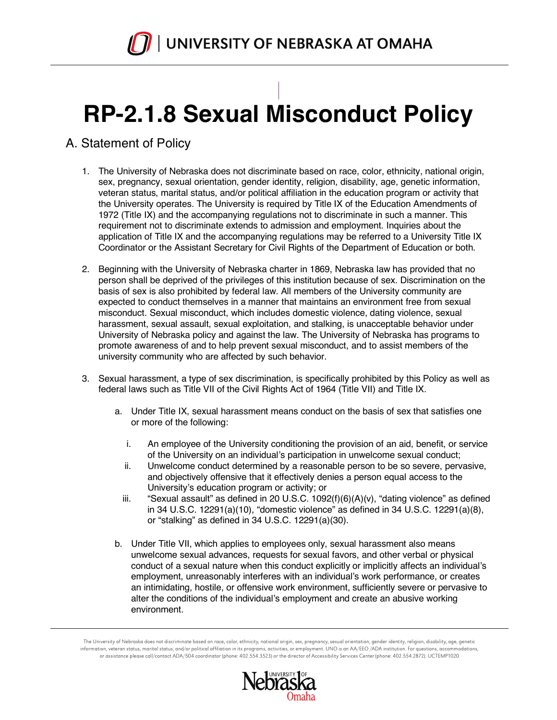

# **RP-2.1.8 Sexual Misconduct Policy**

# A. Statement of Policy

- 1. The University of Nebraska does not discriminate based on race, color, ethnicity, national origin, sex, pregnancy, sexual orientation, gender identity, religion, disability, age, genetic information, veteran status, marital status, and/or political affiliation in the education program or activity that the University operates. The University is required by Title IX of the Education Amendments of 1972 (Title IX) and the accompanying regulations not to discriminate in such a manner. This requirement not to discriminate extends to admission and employment. Inquiries about the application of Title IX and the accompanying regulations may be referred to a University Title IX Coordinator or the Assistant Secretary for Civil Rights of the Department of Education or both.
- 2. Beginning with the University of Nebraska charter in 1869, Nebraska law has provided that no person shall be deprived of the privileges of this institution because of sex. Discrimination on the basis of sex is also prohibited by federal law. All members of the University community are expected to conduct themselves in a manner that maintains an environment free from sexual misconduct. Sexual misconduct, which includes domestic violence, dating violence, sexual harassment, sexual assault, sexual exploitation, and stalking, is unacceptable behavior under University of Nebraska policy and against the law. The University of Nebraska has programs to promote awareness of and to help prevent sexual misconduct, and to assist members of the university community who are affected by such behavior.
- 3. Sexual harassment, a type of sex discrimination, is specifically prohibited by this Policy as well as federal laws such as Title VII of the Civil Rights Act of 1964 (Title VII) and Title IX.
	- a. Under Title IX, sexual harassment means conduct on the basis of sex that satisfies one or more of the following:
		- i. An employee of the University conditioning the provision of an aid, benefit, or service of the University on an individual's participation in unwelcome sexual conduct;
		- ii. Unwelcome conduct determined by a reasonable person to be so severe, pervasive, and objectively offensive that it effectively denies a person equal access to the University's education program or activity; or
		- iii. "Sexual assault" as defined in 20 U.S.C. 1092(f)(6)(A)(v), "dating violence" as defined in 34 U.S.C. 12291(a)(10), "domestic violence" as defined in 34 U.S.C. 12291(a)(8), or "stalking" as defined in 34 U.S.C. 12291(a)(30).
	- b. Under Title VII, which applies to employees only, sexual harassment also means unwelcome sexual advances, requests for sexual favors, and other verbal or physical conduct of a sexual nature when this conduct explicitly or implicitly affects an individual's employment, unreasonably interferes with an individual's work performance, or creates an intimidating, hostile, or offensive work environment, sufficiently severe or pervasive to alter the conditions of the individual's employment and create an abusive working environment.

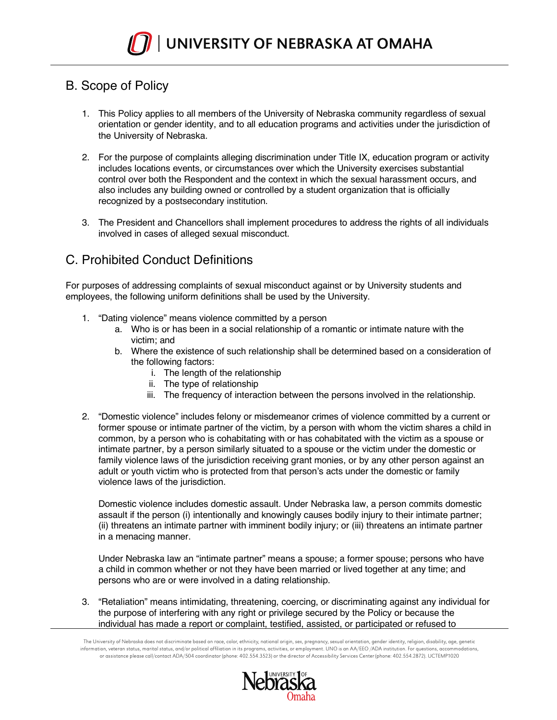

## B. Scope of Policy

- 1. This Policy applies to all members of the University of Nebraska community regardless of sexual orientation or gender identity, and to all education programs and activities under the jurisdiction of the University of Nebraska.
- 2. For the purpose of complaints alleging discrimination under Title IX, education program or activity includes locations events, or circumstances over which the University exercises substantial control over both the Respondent and the context in which the sexual harassment occurs, and also includes any building owned or controlled by a student organization that is officially recognized by a postsecondary institution.
- 3. The President and Chancellors shall implement procedures to address the rights of all individuals involved in cases of alleged sexual misconduct.

# C. Prohibited Conduct Definitions

For purposes of addressing complaints of sexual misconduct against or by University students and employees, the following uniform definitions shall be used by the University.

- 1. "Dating violence" means violence committed by a person
	- a. Who is or has been in a social relationship of a romantic or intimate nature with the victim; and
	- b. Where the existence of such relationship shall be determined based on a consideration of the following factors:
		- i. The length of the relationship
		- ii. The type of relationship
		- iii. The frequency of interaction between the persons involved in the relationship.
- 2. "Domestic violence" includes felony or misdemeanor crimes of violence committed by a current or former spouse or intimate partner of the victim, by a person with whom the victim shares a child in common, by a person who is cohabitating with or has cohabitated with the victim as a spouse or intimate partner, by a person similarly situated to a spouse or the victim under the domestic or family violence laws of the jurisdiction receiving grant monies, or by any other person against an adult or youth victim who is protected from that person's acts under the domestic or family violence laws of the jurisdiction.

Domestic violence includes domestic assault. Under Nebraska law, a person commits domestic assault if the person (i) intentionally and knowingly causes bodily injury to their intimate partner; (ii) threatens an intimate partner with imminent bodily injury; or (iii) threatens an intimate partner in a menacing manner.

Under Nebraska law an "intimate partner" means a spouse; a former spouse; persons who have a child in common whether or not they have been married or lived together at any time; and persons who are or were involved in a dating relationship.

3. "Retaliation" means intimidating, threatening, coercing, or discriminating against any individual for the purpose of interfering with any right or privilege secured by the Policy or because the individual has made a report or complaint, testified, assisted, or participated or refused to

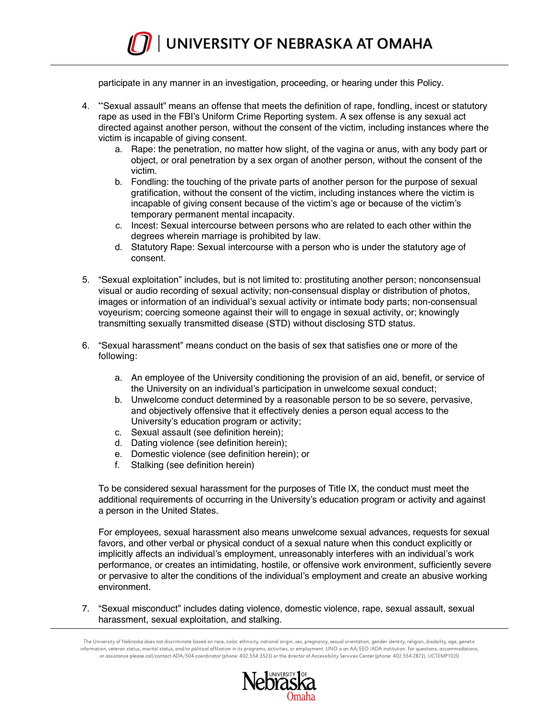

participate in any manner in an investigation, proceeding, or hearing under this Policy.

- 4. "Sexual assault" means an offense that meets the definition of rape, fondling, incest or statutory rape as used in the FBI's Uniform Crime Reporting system. A sex offense is any sexual act directed against another person, without the consent of the victim, including instances where the victim is incapable of giving consent.
	- a. Rape: the penetration, no matter how slight, of the vagina or anus, with any body part or object, or oral penetration by a sex organ of another person, without the consent of the victim.
	- b. Fondling: the touching of the private parts of another person for the purpose of sexual gratification, without the consent of the victim, including instances where the victim is incapable of giving consent because of the victim's age or because of the victim's temporary permanent mental incapacity.
	- c. Incest: Sexual intercourse between persons who are related to each other within the degrees wherein marriage is prohibited by law.
	- d. Statutory Rape: Sexual intercourse with a person who is under the statutory age of consent.
- 5. "Sexual exploitation" includes, but is not limited to: prostituting another person; nonconsensual visual or audio recording of sexual activity; non-consensual display or distribution of photos, images or information of an individual's sexual activity or intimate body parts; non-consensual voyeurism; coercing someone against their will to engage in sexual activity, or; knowingly transmitting sexually transmitted disease (STD) without disclosing STD status.
- 6. "Sexual harassment" means conduct on the basis of sex that satisfies one or more of the following:
	- a. An employee of the University conditioning the provision of an aid, benefit, or service of the University on an individual's participation in unwelcome sexual conduct;
	- b. Unwelcome conduct determined by a reasonable person to be so severe, pervasive, and objectively offensive that it effectively denies a person equal access to the University's education program or activity;
	- c. Sexual assault (see definition herein);
	- d. Dating violence (see definition herein);
	- e. Domestic violence (see definition herein); or
	- f. Stalking (see definition herein)

To be considered sexual harassment for the purposes of Title IX, the conduct must meet the additional requirements of occurring in the University's education program or activity and against a person in the United States.

For employees, sexual harassment also means unwelcome sexual advances, requests for sexual favors, and other verbal or physical conduct of a sexual nature when this conduct explicitly or implicitly affects an individual's employment, unreasonably interferes with an individual's work performance, or creates an intimidating, hostile, or offensive work environment, sufficiently severe or pervasive to alter the conditions of the individual's employment and create an abusive working environment.

7. "Sexual misconduct" includes dating violence, domestic violence, rape, sexual assault, sexual harassment, sexual exploitation, and stalking.

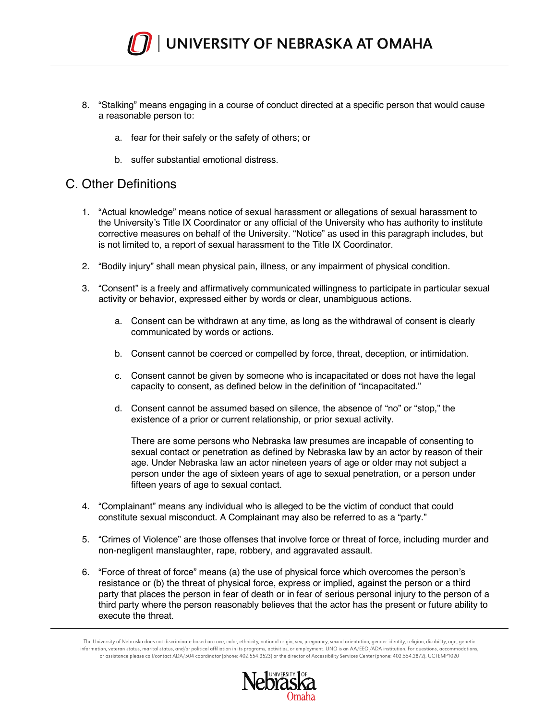

- 8. "Stalking" means engaging in a course of conduct directed at a specific person that would cause a reasonable person to:
	- a. fear for their safely or the safety of others; or
	- b. suffer substantial emotional distress.

#### C. Other Definitions

- 1. "Actual knowledge" means notice of sexual harassment or allegations of sexual harassment to the University's Title IX Coordinator or any official of the University who has authority to institute corrective measures on behalf of the University. "Notice" as used in this paragraph includes, but is not limited to, a report of sexual harassment to the Title IX Coordinator.
- 2. "Bodily injury" shall mean physical pain, illness, or any impairment of physical condition.
- 3. "Consent" is a freely and affirmatively communicated willingness to participate in particular sexual activity or behavior, expressed either by words or clear, unambiguous actions.
	- a. Consent can be withdrawn at any time, as long as the withdrawal of consent is clearly communicated by words or actions.
	- b. Consent cannot be coerced or compelled by force, threat, deception, or intimidation.
	- c. Consent cannot be given by someone who is incapacitated or does not have the legal capacity to consent, as defined below in the definition of "incapacitated."
	- d. Consent cannot be assumed based on silence, the absence of "no" or "stop," the existence of a prior or current relationship, or prior sexual activity.

There are some persons who Nebraska law presumes are incapable of consenting to sexual contact or penetration as defined by Nebraska law by an actor by reason of their age. Under Nebraska law an actor nineteen years of age or older may not subject a person under the age of sixteen years of age to sexual penetration, or a person under fifteen years of age to sexual contact.

- 4. "Complainant" means any individual who is alleged to be the victim of conduct that could constitute sexual misconduct. A Complainant may also be referred to as a "party."
- 5. "Crimes of Violence" are those offenses that involve force or threat of force, including murder and non-negligent manslaughter, rape, robbery, and aggravated assault.
- 6. "Force of threat of force" means (a) the use of physical force which overcomes the person's resistance or (b) the threat of physical force, express or implied, against the person or a third party that places the person in fear of death or in fear of serious personal injury to the person of a third party where the person reasonably believes that the actor has the present or future ability to execute the threat.

The University of Nebraska does not discriminate based on race, color, ethnicity, national origin, sex, pregnancy, sexual orientation, gender identity, religion, disability, age, genetic information, veteran status, marital status, and/or political affiliation in its programs, activities, or employment. UNO is an AA/EEO /ADA institution. For questions, accommodations, or assistance please call/contact ADA/504 coordinator (phone: 402.554.3523) or the director of Accessibility Services Center (phone: 402.554.2872). UCTEMP1020

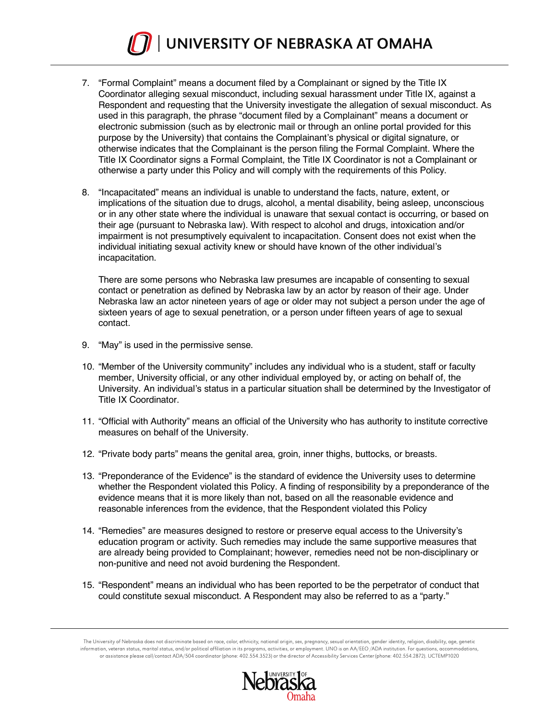

- 7. "Formal Complaint" means a document filed by a Complainant or signed by the Title IX Coordinator alleging sexual misconduct, including sexual harassment under Title IX, against a Respondent and requesting that the University investigate the allegation of sexual misconduct. As used in this paragraph, the phrase "document filed by a Complainant" means a document or electronic submission (such as by electronic mail or through an online portal provided for this purpose by the University) that contains the Complainant's physical or digital signature, or otherwise indicates that the Complainant is the person filing the Formal Complaint. Where the Title IX Coordinator signs a Formal Complaint, the Title IX Coordinator is not a Complainant or otherwise a party under this Policy and will comply with the requirements of this Policy.
- 8. "Incapacitated" means an individual is unable to understand the facts, nature, extent, or implications of the situation due to drugs, alcohol, a mental disability, being asleep, unconscious or in any other state where the individual is unaware that sexual contact is occurring, or based on their age (pursuant to Nebraska law). With respect to alcohol and drugs, intoxication and/or impairment is not presumptively equivalent to incapacitation. Consent does not exist when the individual initiating sexual activity knew or should have known of the other individual's incapacitation.

There are some persons who Nebraska law presumes are incapable of consenting to sexual contact or penetration as defined by Nebraska law by an actor by reason of their age. Under Nebraska law an actor nineteen years of age or older may not subject a person under the age of sixteen years of age to sexual penetration, or a person under fifteen years of age to sexual contact.

- 9. "May" is used in the permissive sense.
- 10. "Member of the University community" includes any individual who is a student, staff or faculty member, University official, or any other individual employed by, or acting on behalf of, the University. An individual's status in a particular situation shall be determined by the Investigator of Title IX Coordinator.
- 11. "Official with Authority" means an official of the University who has authority to institute corrective measures on behalf of the University.
- 12. "Private body parts" means the genital area, groin, inner thighs, buttocks, or breasts.
- 13. "Preponderance of the Evidence" is the standard of evidence the University uses to determine whether the Respondent violated this Policy. A finding of responsibility by a preponderance of the evidence means that it is more likely than not, based on all the reasonable evidence and reasonable inferences from the evidence, that the Respondent violated this Policy
- 14. "Remedies" are measures designed to restore or preserve equal access to the University's education program or activity. Such remedies may include the same supportive measures that are already being provided to Complainant; however, remedies need not be non-disciplinary or non-punitive and need not avoid burdening the Respondent.
- 15. "Respondent" means an individual who has been reported to be the perpetrator of conduct that could constitute sexual misconduct. A Respondent may also be referred to as a "party."

The University of Nebraska does not discriminate based on race, color, ethnicity, national origin, sex, pregnancy, sexual orientation, gender identity, religion, disability, age, genetic information, veteran status, marital status, and/or political affiliation in its programs, activities, or employment. UNO is an AA/EEO /ADA institution. For questions, accommodations,<br>or assistance please call/contact ADA/

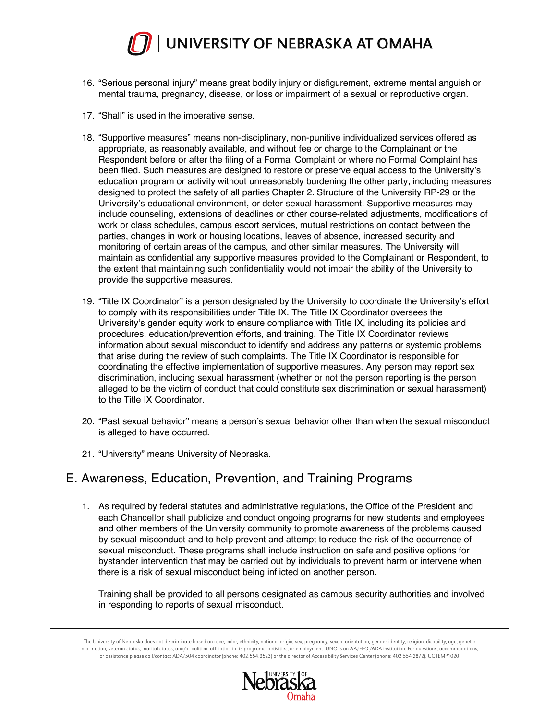

- 16. "Serious personal injury" means great bodily injury or disfigurement, extreme mental anguish or mental trauma, pregnancy, disease, or loss or impairment of a sexual or reproductive organ.
- 17. "Shall" is used in the imperative sense.
- 18. "Supportive measures" means non-disciplinary, non-punitive individualized services offered as appropriate, as reasonably available, and without fee or charge to the Complainant or the Respondent before or after the filing of a Formal Complaint or where no Formal Complaint has been filed. Such measures are designed to restore or preserve equal access to the University's education program or activity without unreasonably burdening the other party, including measures designed to protect the safety of all parties Chapter 2. Structure of the University RP-29 or the University's educational environment, or deter sexual harassment. Supportive measures may include counseling, extensions of deadlines or other course-related adjustments, modifications of work or class schedules, campus escort services, mutual restrictions on contact between the parties, changes in work or housing locations, leaves of absence, increased security and monitoring of certain areas of the campus, and other similar measures. The University will maintain as confidential any supportive measures provided to the Complainant or Respondent, to the extent that maintaining such confidentiality would not impair the ability of the University to provide the supportive measures.
- 19. "Title IX Coordinator" is a person designated by the University to coordinate the University's effort to comply with its responsibilities under Title IX. The Title IX Coordinator oversees the University's gender equity work to ensure compliance with Title IX, including its policies and procedures, education/prevention efforts, and training. The Title IX Coordinator reviews information about sexual misconduct to identify and address any patterns or systemic problems that arise during the review of such complaints. The Title IX Coordinator is responsible for coordinating the effective implementation of supportive measures. Any person may report sex discrimination, including sexual harassment (whether or not the person reporting is the person alleged to be the victim of conduct that could constitute sex discrimination or sexual harassment) to the Title IX Coordinator.
- 20. "Past sexual behavior" means a person's sexual behavior other than when the sexual misconduct is alleged to have occurred.
- 21. "University" means University of Nebraska.

#### E. Awareness, Education, Prevention, and Training Programs

1. As required by federal statutes and administrative regulations, the Office of the President and each Chancellor shall publicize and conduct ongoing programs for new students and employees and other members of the University community to promote awareness of the problems caused by sexual misconduct and to help prevent and attempt to reduce the risk of the occurrence of sexual misconduct. These programs shall include instruction on safe and positive options for bystander intervention that may be carried out by individuals to prevent harm or intervene when there is a risk of sexual misconduct being inflicted on another person.

Training shall be provided to all persons designated as campus security authorities and involved in responding to reports of sexual misconduct.

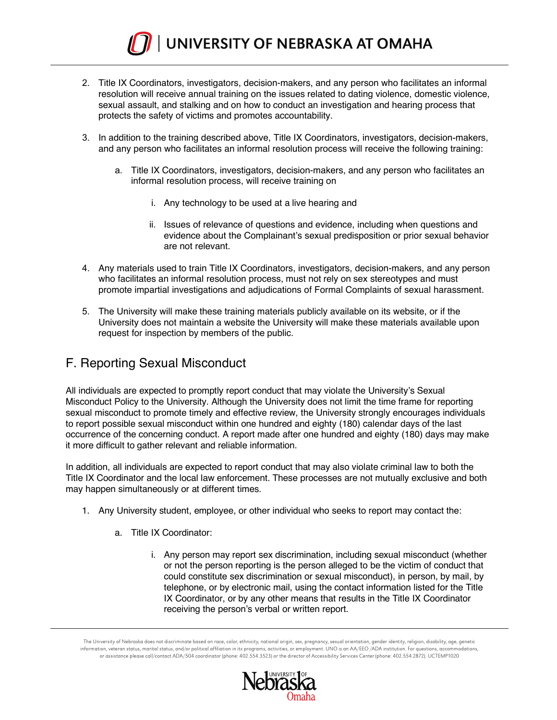

- 2. Title IX Coordinators, investigators, decision-makers, and any person who facilitates an informal resolution will receive annual training on the issues related to dating violence, domestic violence, sexual assault, and stalking and on how to conduct an investigation and hearing process that protects the safety of victims and promotes accountability.
- 3. In addition to the training described above, Title IX Coordinators, investigators, decision-makers, and any person who facilitates an informal resolution process will receive the following training:
	- a. Title IX Coordinators, investigators, decision-makers, and any person who facilitates an informal resolution process, will receive training on
		- i. Any technology to be used at a live hearing and
		- ii. Issues of relevance of questions and evidence, including when questions and evidence about the Complainant's sexual predisposition or prior sexual behavior are not relevant.
- 4. Any materials used to train Title IX Coordinators, investigators, decision-makers, and any person who facilitates an informal resolution process, must not rely on sex stereotypes and must promote impartial investigations and adjudications of Formal Complaints of sexual harassment.
- 5. The University will make these training materials publicly available on its website, or if the University does not maintain a website the University will make these materials available upon request for inspection by members of the public.

# F. Reporting Sexual Misconduct

All individuals are expected to promptly report conduct that may violate the University's Sexual Misconduct Policy to the University. Although the University does not limit the time frame for reporting sexual misconduct to promote timely and effective review, the University strongly encourages individuals to report possible sexual misconduct within one hundred and eighty (180) calendar days of the last occurrence of the concerning conduct. A report made after one hundred and eighty (180) days may make it more difficult to gather relevant and reliable information.

In addition, all individuals are expected to report conduct that may also violate criminal law to both the Title IX Coordinator and the local law enforcement. These processes are not mutually exclusive and both may happen simultaneously or at different times.

- 1. Any University student, employee, or other individual who seeks to report may contact the:
	- a. Title IX Coordinator:
		- i. Any person may report sex discrimination, including sexual misconduct (whether or not the person reporting is the person alleged to be the victim of conduct that could constitute sex discrimination or sexual misconduct), in person, by mail, by telephone, or by electronic mail, using the contact information listed for the Title IX Coordinator, or by any other means that results in the Title IX Coordinator receiving the person's verbal or written report.

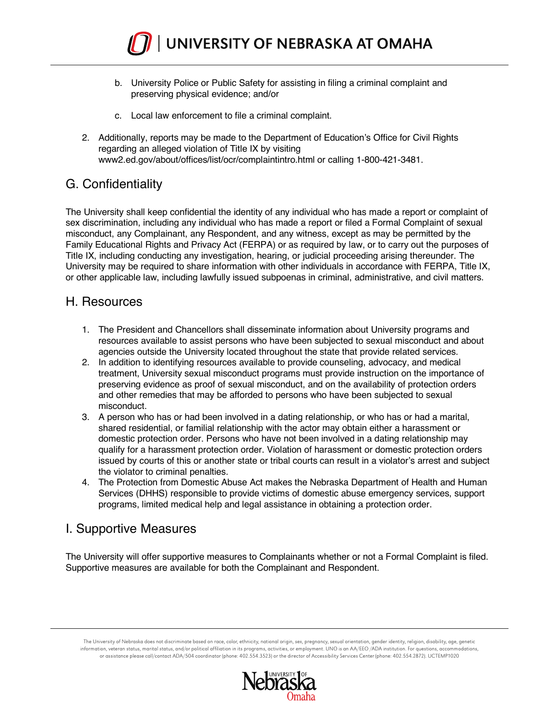

- b. University Police or Public Safety for assisting in filing a criminal complaint and preserving physical evidence; and/or
- c. Local law enforcement to file a criminal complaint.
- 2. Additionally, reports may be made to the Department of Education's Office for Civil Rights regarding an alleged violation of Title IX by visiting www2.ed.gov/about/offices/list/ocr/complaintintro.html or calling 1-800-421-3481.

## G. Confidentiality

The University shall keep confidential the identity of any individual who has made a report or complaint of sex discrimination, including any individual who has made a report or filed a Formal Complaint of sexual misconduct, any Complainant, any Respondent, and any witness, except as may be permitted by the Family Educational Rights and Privacy Act (FERPA) or as required by law, or to carry out the purposes of Title IX, including conducting any investigation, hearing, or judicial proceeding arising thereunder. The University may be required to share information with other individuals in accordance with FERPA, Title IX, or other applicable law, including lawfully issued subpoenas in criminal, administrative, and civil matters.

#### H. Resources

- 1. The President and Chancellors shall disseminate information about University programs and resources available to assist persons who have been subjected to sexual misconduct and about agencies outside the University located throughout the state that provide related services.
- 2. In addition to identifying resources available to provide counseling, advocacy, and medical treatment, University sexual misconduct programs must provide instruction on the importance of preserving evidence as proof of sexual misconduct, and on the availability of protection orders and other remedies that may be afforded to persons who have been subjected to sexual misconduct.
- 3. A person who has or had been involved in a dating relationship, or who has or had a marital, shared residential, or familial relationship with the actor may obtain either a harassment or domestic protection order. Persons who have not been involved in a dating relationship may qualify for a harassment protection order. Violation of harassment or domestic protection orders issued by courts of this or another state or tribal courts can result in a violator's arrest and subject the violator to criminal penalties.
- 4. The Protection from Domestic Abuse Act makes the Nebraska Department of Health and Human Services (DHHS) responsible to provide victims of domestic abuse emergency services, support programs, limited medical help and legal assistance in obtaining a protection order.

#### I. Supportive Measures

The University will offer supportive measures to Complainants whether or not a Formal Complaint is filed. Supportive measures are available for both the Complainant and Respondent.

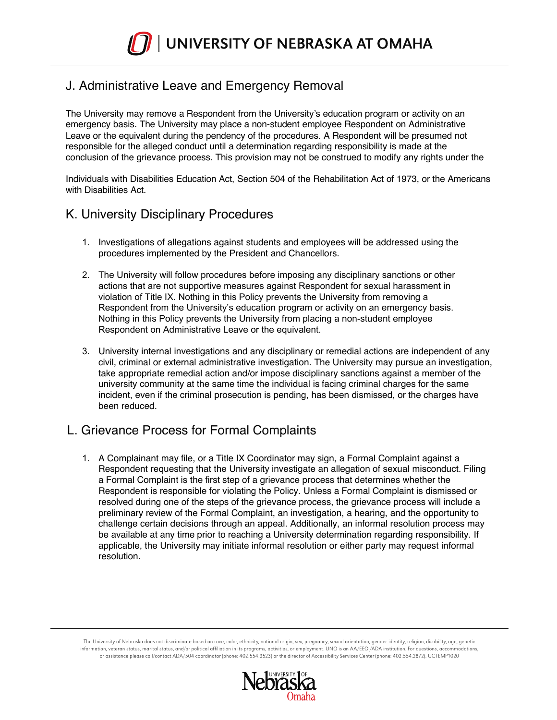# J. Administrative Leave and Emergency Removal

The University may remove a Respondent from the University's education program or activity on an emergency basis. The University may place a non-student employee Respondent on Administrative Leave or the equivalent during the pendency of the procedures. A Respondent will be presumed not responsible for the alleged conduct until a determination regarding responsibility is made at the conclusion of the grievance process. This provision may not be construed to modify any rights under the

Individuals with Disabilities Education Act, Section 504 of the Rehabilitation Act of 1973, or the Americans with Disabilities Act.

### K. University Disciplinary Procedures

- 1. Investigations of allegations against students and employees will be addressed using the procedures implemented by the President and Chancellors.
- 2. The University will follow procedures before imposing any disciplinary sanctions or other actions that are not supportive measures against Respondent for sexual harassment in violation of Title IX. Nothing in this Policy prevents the University from removing a Respondent from the University's education program or activity on an emergency basis. Nothing in this Policy prevents the University from placing a non-student employee Respondent on Administrative Leave or the equivalent.
- 3. University internal investigations and any disciplinary or remedial actions are independent of any civil, criminal or external administrative investigation. The University may pursue an investigation, take appropriate remedial action and/or impose disciplinary sanctions against a member of the university community at the same time the individual is facing criminal charges for the same incident, even if the criminal prosecution is pending, has been dismissed, or the charges have been reduced.

#### L. Grievance Process for Formal Complaints

1. A Complainant may file, or a Title IX Coordinator may sign, a Formal Complaint against a Respondent requesting that the University investigate an allegation of sexual misconduct. Filing a Formal Complaint is the first step of a grievance process that determines whether the Respondent is responsible for violating the Policy. Unless a Formal Complaint is dismissed or resolved during one of the steps of the grievance process, the grievance process will include a preliminary review of the Formal Complaint, an investigation, a hearing, and the opportunity to challenge certain decisions through an appeal. Additionally, an informal resolution process may be available at any time prior to reaching a University determination regarding responsibility. If applicable, the University may initiate informal resolution or either party may request informal resolution.

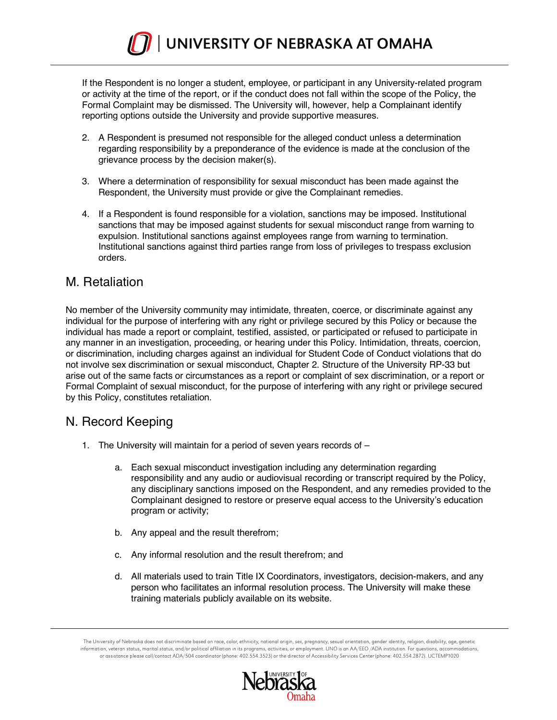

If the Respondent is no longer a student, employee, or participant in any University-related program or activity at the time of the report, or if the conduct does not fall within the scope of the Policy, the Formal Complaint may be dismissed. The University will, however, help a Complainant identify reporting options outside the University and provide supportive measures.

- 2. A Respondent is presumed not responsible for the alleged conduct unless a determination regarding responsibility by a preponderance of the evidence is made at the conclusion of the grievance process by the decision maker(s).
- 3. Where a determination of responsibility for sexual misconduct has been made against the Respondent, the University must provide or give the Complainant remedies.
- 4. If a Respondent is found responsible for a violation, sanctions may be imposed. Institutional sanctions that may be imposed against students for sexual misconduct range from warning to expulsion. Institutional sanctions against employees range from warning to termination. Institutional sanctions against third parties range from loss of privileges to trespass exclusion orders.

#### M. Retaliation

No member of the University community may intimidate, threaten, coerce, or discriminate against any individual for the purpose of interfering with any right or privilege secured by this Policy or because the individual has made a report or complaint, testified, assisted, or participated or refused to participate in any manner in an investigation, proceeding, or hearing under this Policy. Intimidation, threats, coercion, or discrimination, including charges against an individual for Student Code of Conduct violations that do not involve sex discrimination or sexual misconduct, Chapter 2. Structure of the University RP-33 but arise out of the same facts or circumstances as a report or complaint of sex discrimination, or a report or Formal Complaint of sexual misconduct, for the purpose of interfering with any right or privilege secured by this Policy, constitutes retaliation.

#### N. Record Keeping

- 1. The University will maintain for a period of seven years records of
	- a. Each sexual misconduct investigation including any determination regarding responsibility and any audio or audiovisual recording or transcript required by the Policy, any disciplinary sanctions imposed on the Respondent, and any remedies provided to the Complainant designed to restore or preserve equal access to the University's education program or activity;
	- b. Any appeal and the result therefrom;
	- c. Any informal resolution and the result therefrom; and
	- d. All materials used to train Title IX Coordinators, investigators, decision-makers, and any person who facilitates an informal resolution process. The University will make these training materials publicly available on its website.

The University of Nebraska does not discriminate based on race, color, ethnicity, national origin, sex, pregnancy, sexual orientation, gender identity, religion, disability, age, genetic information, veteran status, marital status, and/or political affiliation in its programs, activities, or employment. UNO is an AA/EEO /ADA institution. For questions, accommodations, or assistance please call/contact ADA/504 coordinator (phone: 402.554.3523) or the director of Accessibility Services Center (phone: 402.554.2872). UCTEMP1020

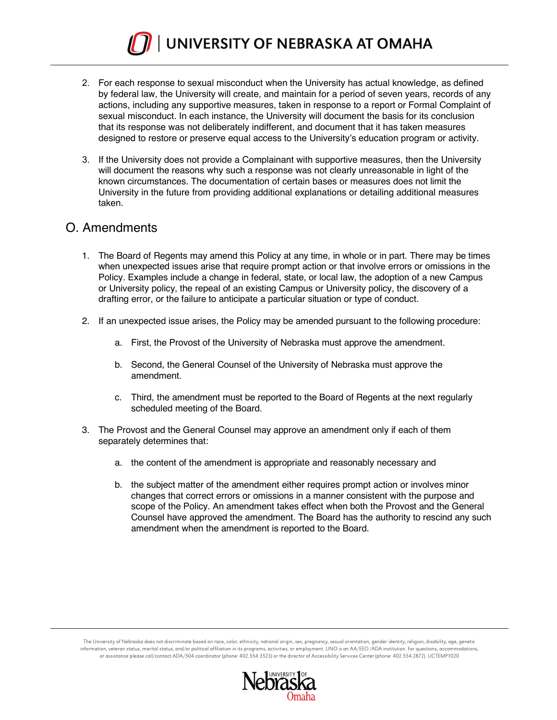

- 2. For each response to sexual misconduct when the University has actual knowledge, as defined by federal law, the University will create, and maintain for a period of seven years, records of any actions, including any supportive measures, taken in response to a report or Formal Complaint of sexual misconduct. In each instance, the University will document the basis for its conclusion that its response was not deliberately indifferent, and document that it has taken measures designed to restore or preserve equal access to the University's education program or activity.
- 3. If the University does not provide a Complainant with supportive measures, then the University will document the reasons why such a response was not clearly unreasonable in light of the known circumstances. The documentation of certain bases or measures does not limit the University in the future from providing additional explanations or detailing additional measures taken.

#### O. Amendments

- 1. The Board of Regents may amend this Policy at any time, in whole or in part. There may be times when unexpected issues arise that require prompt action or that involve errors or omissions in the Policy. Examples include a change in federal, state, or local law, the adoption of a new Campus or University policy, the repeal of an existing Campus or University policy, the discovery of a drafting error, or the failure to anticipate a particular situation or type of conduct.
- 2. If an unexpected issue arises, the Policy may be amended pursuant to the following procedure:
	- a. First, the Provost of the University of Nebraska must approve the amendment.
	- b. Second, the General Counsel of the University of Nebraska must approve the amendment.
	- c. Third, the amendment must be reported to the Board of Regents at the next regularly scheduled meeting of the Board.
- 3. The Provost and the General Counsel may approve an amendment only if each of them separately determines that:
	- a. the content of the amendment is appropriate and reasonably necessary and
	- b. the subject matter of the amendment either requires prompt action or involves minor changes that correct errors or omissions in a manner consistent with the purpose and scope of the Policy. An amendment takes effect when both the Provost and the General Counsel have approved the amendment. The Board has the authority to rescind any such amendment when the amendment is reported to the Board.